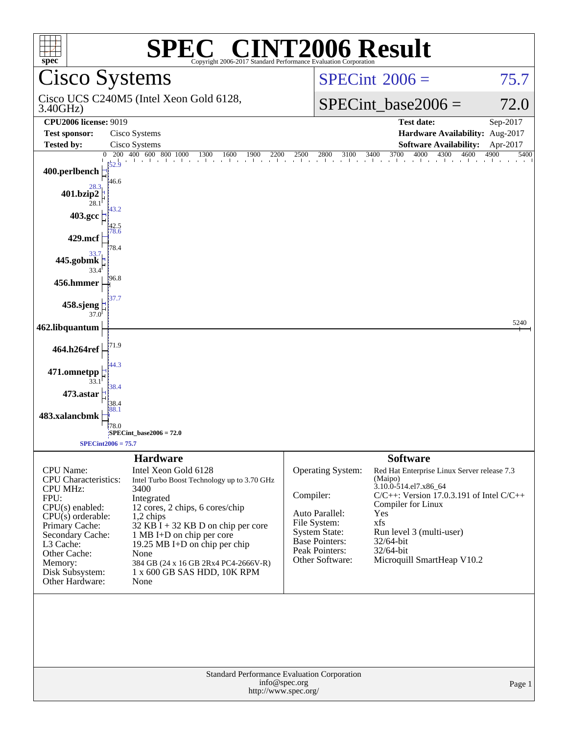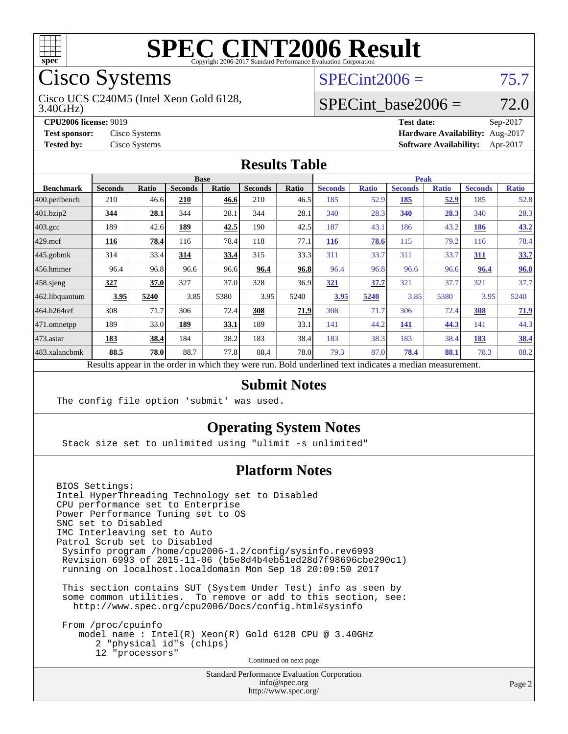

# Cisco Systems

Cisco UCS C240M5 (Intel Xeon Gold 6128,

3.40GHz)

 $SPECint2006 = 75.7$  $SPECint2006 = 75.7$ 

#### SPECint base2006 =  $72.0$

**[CPU2006 license:](http://www.spec.org/auto/cpu2006/Docs/result-fields.html#CPU2006license)** 9019 **[Test date:](http://www.spec.org/auto/cpu2006/Docs/result-fields.html#Testdate)** Sep-2017 **[Test sponsor:](http://www.spec.org/auto/cpu2006/Docs/result-fields.html#Testsponsor)** Cisco Systems **[Hardware Availability:](http://www.spec.org/auto/cpu2006/Docs/result-fields.html#HardwareAvailability)** Aug-2017 **[Tested by:](http://www.spec.org/auto/cpu2006/Docs/result-fields.html#Testedby)** Cisco Systems **[Software Availability:](http://www.spec.org/auto/cpu2006/Docs/result-fields.html#SoftwareAvailability)** Apr-2017

#### **[Results Table](http://www.spec.org/auto/cpu2006/Docs/result-fields.html#ResultsTable)**

|                                                                                                          | <b>Base</b>    |              |                |       |                |       | <b>Peak</b>    |              |                |              |                |              |
|----------------------------------------------------------------------------------------------------------|----------------|--------------|----------------|-------|----------------|-------|----------------|--------------|----------------|--------------|----------------|--------------|
| <b>Benchmark</b>                                                                                         | <b>Seconds</b> | <b>Ratio</b> | <b>Seconds</b> | Ratio | <b>Seconds</b> | Ratio | <b>Seconds</b> | <b>Ratio</b> | <b>Seconds</b> | <b>Ratio</b> | <b>Seconds</b> | <b>Ratio</b> |
| 400.perlbench                                                                                            | 210            | 46.6         | 210            | 46.6  | 210            | 46.5  | 185            | 52.9         | 185            | 52.9         | 185            | 52.8         |
| $401$ .bzip2                                                                                             | 344            | 28.1         | 344            | 28.1  | 344            | 28.1  | 340            | 28.3         | 340            | 28.3         | 340            | 28.3         |
| $403.\mathrm{gcc}$                                                                                       | 189            | 42.6         | 189            | 42.5  | 190            | 42.5  | 187            | 43.1         | 186            | 43.2         | 186            | 43.2         |
| $429$ mcf                                                                                                | 116            | 78.4         | 116            | 78.4  | 118            | 77.1  | <b>116</b>     | 78.6         | 115            | 79.2         | 116            | 78.4         |
| $445$ .gobmk                                                                                             | 314            | 33.4         | 314            | 33.4  | 315            | 33.3  | 311            | 33.7         | 311            | 33.7         | <u>311</u>     | 33.7         |
| $456.$ hmmer                                                                                             | 96.4           | 96.8         | 96.6           | 96.6  | 96.4           | 96.8  | 96.4           | 96.8         | 96.6           | 96.6         | 96.4           | 96.8         |
| $458$ .sjeng                                                                                             | 327            | 37.0         | 327            | 37.0  | 328            | 36.9  | 321            | 37.7         | 321            | 37.7         | 321            | 37.7         |
| 462.libquantum                                                                                           | 3.95           | 5240         | 3.85           | 5380  | 3.95           | 5240  | 3.95           | 5240         | 3.85           | 5380         | 3.95           | 5240         |
| 464.h264ref                                                                                              | 308            | 71.7         | 306            | 72.4  | 308            | 71.9  | 308            | 71.7         | 306            | 72.4         | 308            | 71.9         |
| $ 471$ .omnetpp                                                                                          | 189            | 33.0         | 189            | 33.1  | 189            | 33.1  | 141            | 44.2         | 141            | 44.3         | 141            | 44.3         |
| $473.$ astar                                                                                             | 183            | 38.4         | 184            | 38.2  | 183            | 38.4  | 183            | 38.3         | 183            | 38.4         | 183            | 38.4         |
| 483.xalancbmk                                                                                            | 88.5           | 78.0         | 88.7           | 77.8  | 88.4           | 78.0  | 79.3           | 87.0         | 78.4           | 88.1         | 78.3           | 88.2         |
| Results appear in the order in which they were run. Bold underlined text indicates a median measurement. |                |              |                |       |                |       |                |              |                |              |                |              |

## **[Submit Notes](http://www.spec.org/auto/cpu2006/Docs/result-fields.html#SubmitNotes)**

The config file option 'submit' was used.

#### **[Operating System Notes](http://www.spec.org/auto/cpu2006/Docs/result-fields.html#OperatingSystemNotes)**

Stack size set to unlimited using "ulimit -s unlimited"

#### **[Platform Notes](http://www.spec.org/auto/cpu2006/Docs/result-fields.html#PlatformNotes)**

BIOS Settings: Intel HyperThreading Technology set to Disabled CPU performance set to Enterprise Power Performance Tuning set to OS SNC set to Disabled IMC Interleaving set to Auto Patrol Scrub set to Disabled Sysinfo program /home/cpu2006-1.2/config/sysinfo.rev6993 Revision 6993 of 2015-11-06 (b5e8d4b4eb51ed28d7f98696cbe290c1) running on localhost.localdomain Mon Sep 18 20:09:50 2017 This section contains SUT (System Under Test) info as seen by some common utilities. To remove or add to this section, see: <http://www.spec.org/cpu2006/Docs/config.html#sysinfo>

 From /proc/cpuinfo model name : Intel(R) Xeon(R) Gold 6128 CPU @ 3.40GHz 2 "physical id"s (chips) 12 "processors"

Continued on next page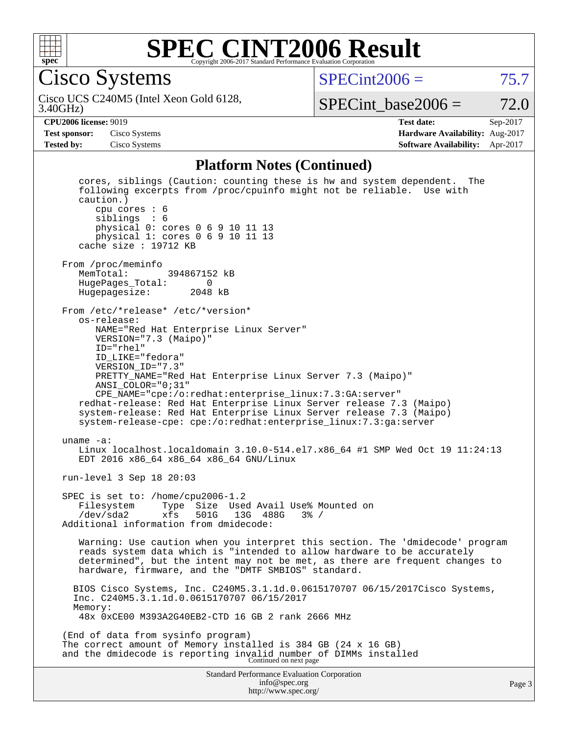

Cisco Systems

 $SPECint2006 = 75.7$  $SPECint2006 = 75.7$ 

3.40GHz) Cisco UCS C240M5 (Intel Xeon Gold 6128,

SPECint base2006 =  $72.0$ 

**[CPU2006 license:](http://www.spec.org/auto/cpu2006/Docs/result-fields.html#CPU2006license)** 9019 **[Test date:](http://www.spec.org/auto/cpu2006/Docs/result-fields.html#Testdate)** Sep-2017 **[Test sponsor:](http://www.spec.org/auto/cpu2006/Docs/result-fields.html#Testsponsor)** Cisco Systems **[Hardware Availability:](http://www.spec.org/auto/cpu2006/Docs/result-fields.html#HardwareAvailability)** Aug-2017 **[Tested by:](http://www.spec.org/auto/cpu2006/Docs/result-fields.html#Testedby)** Cisco Systems **[Software Availability:](http://www.spec.org/auto/cpu2006/Docs/result-fields.html#SoftwareAvailability)** Apr-2017

#### **[Platform Notes \(Continued\)](http://www.spec.org/auto/cpu2006/Docs/result-fields.html#PlatformNotes)**

Standard Performance Evaluation Corporation [info@spec.org](mailto:info@spec.org) <http://www.spec.org/> Page 3 cores, siblings (Caution: counting these is hw and system dependent. The following excerpts from /proc/cpuinfo might not be reliable. Use with caution.) cpu cores : 6 siblings : 6 physical 0: cores 0 6 9 10 11 13 physical 1: cores 0 6 9 10 11 13 cache size : 19712 KB From /proc/meminfo<br>MemTotal: 394867152 kB HugePages\_Total: 0 Hugepagesize: 2048 kB From /etc/\*release\* /etc/\*version\* os-release: NAME="Red Hat Enterprise Linux Server" VERSION="7.3 (Maipo)" ID="rhel" ID\_LIKE="fedora" VERSION\_ID="7.3" PRETTY\_NAME="Red Hat Enterprise Linux Server 7.3 (Maipo)" ANSI\_COLOR="0;31" CPE\_NAME="cpe:/o:redhat:enterprise\_linux:7.3:GA:server" redhat-release: Red Hat Enterprise Linux Server release 7.3 (Maipo) system-release: Red Hat Enterprise Linux Server release 7.3 (Maipo) system-release-cpe: cpe:/o:redhat:enterprise\_linux:7.3:ga:server uname -a: Linux localhost.localdomain 3.10.0-514.el7.x86\_64 #1 SMP Wed Oct 19 11:24:13 EDT 2016 x86\_64 x86\_64 x86\_64 GNU/Linux run-level 3 Sep 18 20:03 SPEC is set to: /home/cpu2006-1.2 Filesystem Type Size Used Avail Use% Mounted on<br>/dev/sda2 xfs 501G 13G 488G 3% / /dev/sda2 xfs 501G 13G 488G 3% / Additional information from dmidecode: Warning: Use caution when you interpret this section. The 'dmidecode' program reads system data which is "intended to allow hardware to be accurately determined", but the intent may not be met, as there are frequent changes to hardware, firmware, and the "DMTF SMBIOS" standard. BIOS Cisco Systems, Inc. C240M5.3.1.1d.0.0615170707 06/15/2017Cisco Systems, Inc. C240M5.3.1.1d.0.0615170707 06/15/2017 Memory: 48x 0xCE00 M393A2G40EB2-CTD 16 GB 2 rank 2666 MHz (End of data from sysinfo program) The correct amount of Memory installed is 384 GB (24 x 16 GB) and the dmidecode is reporting invalid number of DIMMs installed Continued on next page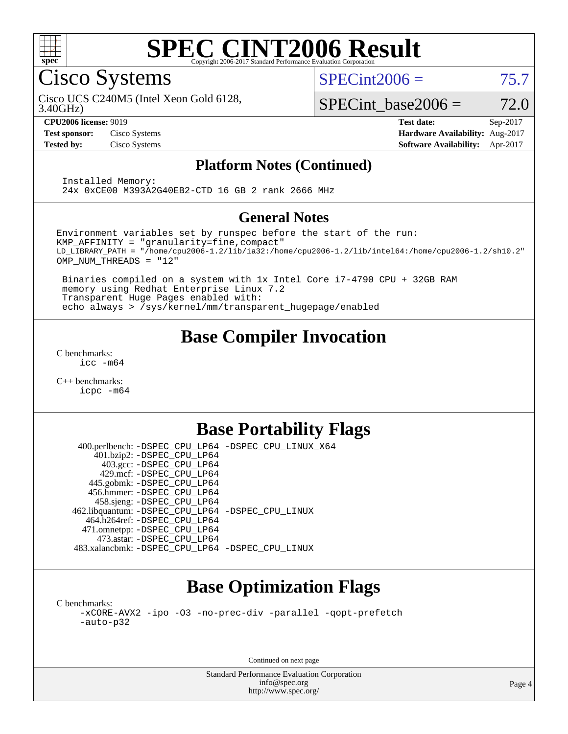

Cisco Systems

 $SPECint2006 = 75.7$  $SPECint2006 = 75.7$ 

Cisco UCS C240M5 (Intel Xeon Gold 6128,

3.40GHz)

SPECint base2006 =  $72.0$ 

**[CPU2006 license:](http://www.spec.org/auto/cpu2006/Docs/result-fields.html#CPU2006license)** 9019 **[Test date:](http://www.spec.org/auto/cpu2006/Docs/result-fields.html#Testdate)** Sep-2017 **[Test sponsor:](http://www.spec.org/auto/cpu2006/Docs/result-fields.html#Testsponsor)** Cisco Systems **[Hardware Availability:](http://www.spec.org/auto/cpu2006/Docs/result-fields.html#HardwareAvailability)** Aug-2017 **[Tested by:](http://www.spec.org/auto/cpu2006/Docs/result-fields.html#Testedby)** Cisco Systems **[Software Availability:](http://www.spec.org/auto/cpu2006/Docs/result-fields.html#SoftwareAvailability)** Apr-2017

#### **[Platform Notes \(Continued\)](http://www.spec.org/auto/cpu2006/Docs/result-fields.html#PlatformNotes)**

 Installed Memory: 24x 0xCE00 M393A2G40EB2-CTD 16 GB 2 rank 2666 MHz

#### **[General Notes](http://www.spec.org/auto/cpu2006/Docs/result-fields.html#GeneralNotes)**

Environment variables set by runspec before the start of the run: KMP\_AFFINITY = "granularity=fine,compact" LD\_LIBRARY\_PATH = "/home/cpu2006-1.2/lib/ia32:/home/cpu2006-1.2/lib/intel64:/home/cpu2006-1.2/sh10.2" OMP\_NUM\_THREADS = "12"

 Binaries compiled on a system with 1x Intel Core i7-4790 CPU + 32GB RAM memory using Redhat Enterprise Linux 7.2 Transparent Huge Pages enabled with: echo always > /sys/kernel/mm/transparent\_hugepage/enabled

## **[Base Compiler Invocation](http://www.spec.org/auto/cpu2006/Docs/result-fields.html#BaseCompilerInvocation)**

[C benchmarks](http://www.spec.org/auto/cpu2006/Docs/result-fields.html#Cbenchmarks): [icc -m64](http://www.spec.org/cpu2006/results/res2017q4/cpu2006-20170919-50252.flags.html#user_CCbase_intel_icc_64bit_bda6cc9af1fdbb0edc3795bac97ada53)

[C++ benchmarks:](http://www.spec.org/auto/cpu2006/Docs/result-fields.html#CXXbenchmarks) [icpc -m64](http://www.spec.org/cpu2006/results/res2017q4/cpu2006-20170919-50252.flags.html#user_CXXbase_intel_icpc_64bit_fc66a5337ce925472a5c54ad6a0de310)

## **[Base Portability Flags](http://www.spec.org/auto/cpu2006/Docs/result-fields.html#BasePortabilityFlags)**

 400.perlbench: [-DSPEC\\_CPU\\_LP64](http://www.spec.org/cpu2006/results/res2017q4/cpu2006-20170919-50252.flags.html#b400.perlbench_basePORTABILITY_DSPEC_CPU_LP64) [-DSPEC\\_CPU\\_LINUX\\_X64](http://www.spec.org/cpu2006/results/res2017q4/cpu2006-20170919-50252.flags.html#b400.perlbench_baseCPORTABILITY_DSPEC_CPU_LINUX_X64) 401.bzip2: [-DSPEC\\_CPU\\_LP64](http://www.spec.org/cpu2006/results/res2017q4/cpu2006-20170919-50252.flags.html#suite_basePORTABILITY401_bzip2_DSPEC_CPU_LP64) 403.gcc: [-DSPEC\\_CPU\\_LP64](http://www.spec.org/cpu2006/results/res2017q4/cpu2006-20170919-50252.flags.html#suite_basePORTABILITY403_gcc_DSPEC_CPU_LP64) 429.mcf: [-DSPEC\\_CPU\\_LP64](http://www.spec.org/cpu2006/results/res2017q4/cpu2006-20170919-50252.flags.html#suite_basePORTABILITY429_mcf_DSPEC_CPU_LP64) 445.gobmk: [-DSPEC\\_CPU\\_LP64](http://www.spec.org/cpu2006/results/res2017q4/cpu2006-20170919-50252.flags.html#suite_basePORTABILITY445_gobmk_DSPEC_CPU_LP64) 456.hmmer: [-DSPEC\\_CPU\\_LP64](http://www.spec.org/cpu2006/results/res2017q4/cpu2006-20170919-50252.flags.html#suite_basePORTABILITY456_hmmer_DSPEC_CPU_LP64) 458.sjeng: [-DSPEC\\_CPU\\_LP64](http://www.spec.org/cpu2006/results/res2017q4/cpu2006-20170919-50252.flags.html#suite_basePORTABILITY458_sjeng_DSPEC_CPU_LP64) 462.libquantum: [-DSPEC\\_CPU\\_LP64](http://www.spec.org/cpu2006/results/res2017q4/cpu2006-20170919-50252.flags.html#suite_basePORTABILITY462_libquantum_DSPEC_CPU_LP64) [-DSPEC\\_CPU\\_LINUX](http://www.spec.org/cpu2006/results/res2017q4/cpu2006-20170919-50252.flags.html#b462.libquantum_baseCPORTABILITY_DSPEC_CPU_LINUX) 464.h264ref: [-DSPEC\\_CPU\\_LP64](http://www.spec.org/cpu2006/results/res2017q4/cpu2006-20170919-50252.flags.html#suite_basePORTABILITY464_h264ref_DSPEC_CPU_LP64) 471.omnetpp: [-DSPEC\\_CPU\\_LP64](http://www.spec.org/cpu2006/results/res2017q4/cpu2006-20170919-50252.flags.html#suite_basePORTABILITY471_omnetpp_DSPEC_CPU_LP64) 473.astar: [-DSPEC\\_CPU\\_LP64](http://www.spec.org/cpu2006/results/res2017q4/cpu2006-20170919-50252.flags.html#suite_basePORTABILITY473_astar_DSPEC_CPU_LP64) 483.xalancbmk: [-DSPEC\\_CPU\\_LP64](http://www.spec.org/cpu2006/results/res2017q4/cpu2006-20170919-50252.flags.html#suite_basePORTABILITY483_xalancbmk_DSPEC_CPU_LP64) [-DSPEC\\_CPU\\_LINUX](http://www.spec.org/cpu2006/results/res2017q4/cpu2006-20170919-50252.flags.html#b483.xalancbmk_baseCXXPORTABILITY_DSPEC_CPU_LINUX)

## **[Base Optimization Flags](http://www.spec.org/auto/cpu2006/Docs/result-fields.html#BaseOptimizationFlags)**

[C benchmarks](http://www.spec.org/auto/cpu2006/Docs/result-fields.html#Cbenchmarks): [-xCORE-AVX2](http://www.spec.org/cpu2006/results/res2017q4/cpu2006-20170919-50252.flags.html#user_CCbase_f-xCORE-AVX2) [-ipo](http://www.spec.org/cpu2006/results/res2017q4/cpu2006-20170919-50252.flags.html#user_CCbase_f-ipo) [-O3](http://www.spec.org/cpu2006/results/res2017q4/cpu2006-20170919-50252.flags.html#user_CCbase_f-O3) [-no-prec-div](http://www.spec.org/cpu2006/results/res2017q4/cpu2006-20170919-50252.flags.html#user_CCbase_f-no-prec-div) [-parallel](http://www.spec.org/cpu2006/results/res2017q4/cpu2006-20170919-50252.flags.html#user_CCbase_f-parallel) [-qopt-prefetch](http://www.spec.org/cpu2006/results/res2017q4/cpu2006-20170919-50252.flags.html#user_CCbase_f-qopt-prefetch) [-auto-p32](http://www.spec.org/cpu2006/results/res2017q4/cpu2006-20170919-50252.flags.html#user_CCbase_f-auto-p32)

Continued on next page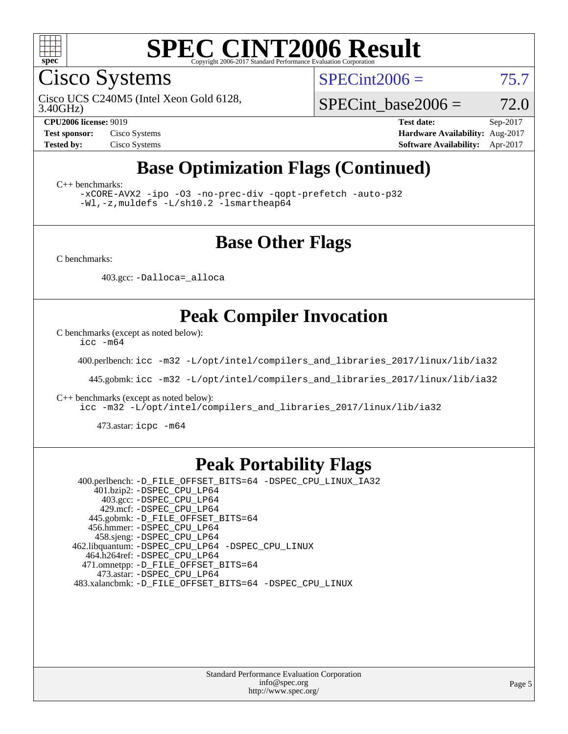

Cisco Systems

 $SPECint2006 = 75.7$  $SPECint2006 = 75.7$ 

3.40GHz) Cisco UCS C240M5 (Intel Xeon Gold 6128,

SPECint base2006 =  $72.0$ 

**[CPU2006 license:](http://www.spec.org/auto/cpu2006/Docs/result-fields.html#CPU2006license)** 9019 **[Test date:](http://www.spec.org/auto/cpu2006/Docs/result-fields.html#Testdate)** Sep-2017 **[Test sponsor:](http://www.spec.org/auto/cpu2006/Docs/result-fields.html#Testsponsor)** Cisco Systems **[Hardware Availability:](http://www.spec.org/auto/cpu2006/Docs/result-fields.html#HardwareAvailability)** Aug-2017 **[Tested by:](http://www.spec.org/auto/cpu2006/Docs/result-fields.html#Testedby)** Cisco Systems **[Software Availability:](http://www.spec.org/auto/cpu2006/Docs/result-fields.html#SoftwareAvailability)** Apr-2017

## **[Base Optimization Flags \(Continued\)](http://www.spec.org/auto/cpu2006/Docs/result-fields.html#BaseOptimizationFlags)**

[C++ benchmarks:](http://www.spec.org/auto/cpu2006/Docs/result-fields.html#CXXbenchmarks)

[-xCORE-AVX2](http://www.spec.org/cpu2006/results/res2017q4/cpu2006-20170919-50252.flags.html#user_CXXbase_f-xCORE-AVX2) [-ipo](http://www.spec.org/cpu2006/results/res2017q4/cpu2006-20170919-50252.flags.html#user_CXXbase_f-ipo) [-O3](http://www.spec.org/cpu2006/results/res2017q4/cpu2006-20170919-50252.flags.html#user_CXXbase_f-O3) [-no-prec-div](http://www.spec.org/cpu2006/results/res2017q4/cpu2006-20170919-50252.flags.html#user_CXXbase_f-no-prec-div) [-qopt-prefetch](http://www.spec.org/cpu2006/results/res2017q4/cpu2006-20170919-50252.flags.html#user_CXXbase_f-qopt-prefetch) [-auto-p32](http://www.spec.org/cpu2006/results/res2017q4/cpu2006-20170919-50252.flags.html#user_CXXbase_f-auto-p32) [-Wl,-z,muldefs](http://www.spec.org/cpu2006/results/res2017q4/cpu2006-20170919-50252.flags.html#user_CXXbase_link_force_multiple1_74079c344b956b9658436fd1b6dd3a8a) [-L/sh10.2 -lsmartheap64](http://www.spec.org/cpu2006/results/res2017q4/cpu2006-20170919-50252.flags.html#user_CXXbase_SmartHeap64_63911d860fc08c15fa1d5bf319b9d8d5)

#### **[Base Other Flags](http://www.spec.org/auto/cpu2006/Docs/result-fields.html#BaseOtherFlags)**

[C benchmarks](http://www.spec.org/auto/cpu2006/Docs/result-fields.html#Cbenchmarks):

403.gcc: [-Dalloca=\\_alloca](http://www.spec.org/cpu2006/results/res2017q4/cpu2006-20170919-50252.flags.html#b403.gcc_baseEXTRA_CFLAGS_Dalloca_be3056838c12de2578596ca5467af7f3)

## **[Peak Compiler Invocation](http://www.spec.org/auto/cpu2006/Docs/result-fields.html#PeakCompilerInvocation)**

[C benchmarks \(except as noted below\)](http://www.spec.org/auto/cpu2006/Docs/result-fields.html#Cbenchmarksexceptasnotedbelow):

[icc -m64](http://www.spec.org/cpu2006/results/res2017q4/cpu2006-20170919-50252.flags.html#user_CCpeak_intel_icc_64bit_bda6cc9af1fdbb0edc3795bac97ada53)

400.perlbench: [icc -m32 -L/opt/intel/compilers\\_and\\_libraries\\_2017/linux/lib/ia32](http://www.spec.org/cpu2006/results/res2017q4/cpu2006-20170919-50252.flags.html#user_peakCCLD400_perlbench_intel_icc_c29f3ff5a7ed067b11e4ec10a03f03ae)

445.gobmk: [icc -m32 -L/opt/intel/compilers\\_and\\_libraries\\_2017/linux/lib/ia32](http://www.spec.org/cpu2006/results/res2017q4/cpu2006-20170919-50252.flags.html#user_peakCCLD445_gobmk_intel_icc_c29f3ff5a7ed067b11e4ec10a03f03ae)

[C++ benchmarks \(except as noted below\):](http://www.spec.org/auto/cpu2006/Docs/result-fields.html#CXXbenchmarksexceptasnotedbelow)

[icc -m32 -L/opt/intel/compilers\\_and\\_libraries\\_2017/linux/lib/ia32](http://www.spec.org/cpu2006/results/res2017q4/cpu2006-20170919-50252.flags.html#user_CXXpeak_intel_icc_c29f3ff5a7ed067b11e4ec10a03f03ae)

473.astar: [icpc -m64](http://www.spec.org/cpu2006/results/res2017q4/cpu2006-20170919-50252.flags.html#user_peakCXXLD473_astar_intel_icpc_64bit_fc66a5337ce925472a5c54ad6a0de310)

#### **[Peak Portability Flags](http://www.spec.org/auto/cpu2006/Docs/result-fields.html#PeakPortabilityFlags)**

 400.perlbench: [-D\\_FILE\\_OFFSET\\_BITS=64](http://www.spec.org/cpu2006/results/res2017q4/cpu2006-20170919-50252.flags.html#user_peakPORTABILITY400_perlbench_file_offset_bits_64_438cf9856305ebd76870a2c6dc2689ab) [-DSPEC\\_CPU\\_LINUX\\_IA32](http://www.spec.org/cpu2006/results/res2017q4/cpu2006-20170919-50252.flags.html#b400.perlbench_peakCPORTABILITY_DSPEC_CPU_LINUX_IA32) 401.bzip2: [-DSPEC\\_CPU\\_LP64](http://www.spec.org/cpu2006/results/res2017q4/cpu2006-20170919-50252.flags.html#suite_peakPORTABILITY401_bzip2_DSPEC_CPU_LP64) 403.gcc: [-DSPEC\\_CPU\\_LP64](http://www.spec.org/cpu2006/results/res2017q4/cpu2006-20170919-50252.flags.html#suite_peakPORTABILITY403_gcc_DSPEC_CPU_LP64) 429.mcf: [-DSPEC\\_CPU\\_LP64](http://www.spec.org/cpu2006/results/res2017q4/cpu2006-20170919-50252.flags.html#suite_peakPORTABILITY429_mcf_DSPEC_CPU_LP64) 445.gobmk: [-D\\_FILE\\_OFFSET\\_BITS=64](http://www.spec.org/cpu2006/results/res2017q4/cpu2006-20170919-50252.flags.html#user_peakPORTABILITY445_gobmk_file_offset_bits_64_438cf9856305ebd76870a2c6dc2689ab) 456.hmmer: [-DSPEC\\_CPU\\_LP64](http://www.spec.org/cpu2006/results/res2017q4/cpu2006-20170919-50252.flags.html#suite_peakPORTABILITY456_hmmer_DSPEC_CPU_LP64) 458.sjeng: [-DSPEC\\_CPU\\_LP64](http://www.spec.org/cpu2006/results/res2017q4/cpu2006-20170919-50252.flags.html#suite_peakPORTABILITY458_sjeng_DSPEC_CPU_LP64) 462.libquantum: [-DSPEC\\_CPU\\_LP64](http://www.spec.org/cpu2006/results/res2017q4/cpu2006-20170919-50252.flags.html#suite_peakPORTABILITY462_libquantum_DSPEC_CPU_LP64) [-DSPEC\\_CPU\\_LINUX](http://www.spec.org/cpu2006/results/res2017q4/cpu2006-20170919-50252.flags.html#b462.libquantum_peakCPORTABILITY_DSPEC_CPU_LINUX) 464.h264ref: [-DSPEC\\_CPU\\_LP64](http://www.spec.org/cpu2006/results/res2017q4/cpu2006-20170919-50252.flags.html#suite_peakPORTABILITY464_h264ref_DSPEC_CPU_LP64) 471.omnetpp: [-D\\_FILE\\_OFFSET\\_BITS=64](http://www.spec.org/cpu2006/results/res2017q4/cpu2006-20170919-50252.flags.html#user_peakPORTABILITY471_omnetpp_file_offset_bits_64_438cf9856305ebd76870a2c6dc2689ab) 473.astar: [-DSPEC\\_CPU\\_LP64](http://www.spec.org/cpu2006/results/res2017q4/cpu2006-20170919-50252.flags.html#suite_peakPORTABILITY473_astar_DSPEC_CPU_LP64) 483.xalancbmk: [-D\\_FILE\\_OFFSET\\_BITS=64](http://www.spec.org/cpu2006/results/res2017q4/cpu2006-20170919-50252.flags.html#user_peakPORTABILITY483_xalancbmk_file_offset_bits_64_438cf9856305ebd76870a2c6dc2689ab) [-DSPEC\\_CPU\\_LINUX](http://www.spec.org/cpu2006/results/res2017q4/cpu2006-20170919-50252.flags.html#b483.xalancbmk_peakCXXPORTABILITY_DSPEC_CPU_LINUX)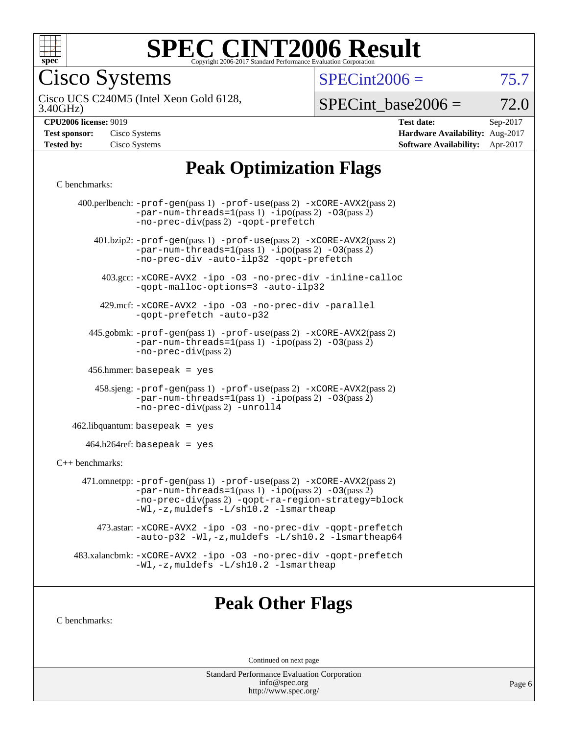

Cisco Systems

 $SPECint2006 = 75.7$  $SPECint2006 = 75.7$ 

3.40GHz) Cisco UCS C240M5 (Intel Xeon Gold 6128,

 $SPECTnt\_base2006 = 72.0$ 

| Test sponsor: | Cisco Systems |
|---------------|---------------|
| Tested by:    | Cisco Systems |

**[CPU2006 license:](http://www.spec.org/auto/cpu2006/Docs/result-fields.html#CPU2006license)** 9019 **[Test date:](http://www.spec.org/auto/cpu2006/Docs/result-fields.html#Testdate)** Sep-2017 **[Hardware Availability:](http://www.spec.org/auto/cpu2006/Docs/result-fields.html#HardwareAvailability)** Aug-2017 **[Software Availability:](http://www.spec.org/auto/cpu2006/Docs/result-fields.html#SoftwareAvailability)** Apr-2017

## **[Peak Optimization Flags](http://www.spec.org/auto/cpu2006/Docs/result-fields.html#PeakOptimizationFlags)**

#### [C benchmarks](http://www.spec.org/auto/cpu2006/Docs/result-fields.html#Cbenchmarks):

|                   | 400.perlbench: -prof-gen(pass 1) -prof-use(pass 2) -xCORE-AVX2(pass 2)<br>$-par-num-threads=1(pass 1) -ipo(pass 2) -03(pass 2)$<br>-no-prec-div(pass 2) -qopt-prefetch                                                                             |
|-------------------|----------------------------------------------------------------------------------------------------------------------------------------------------------------------------------------------------------------------------------------------------|
|                   | $401 \text{.}$ bzip2: -prof-gen(pass 1) -prof-use(pass 2) -xCORE-AVX2(pass 2)<br>$-par-num-threads=1(pass 1) -ipo(pass 2) -03(pass 2)$<br>-no-prec-div -auto-ilp32 -qopt-prefetch                                                                  |
|                   | 403.gcc: -xCORE-AVX2 -ipo -03 -no-prec-div -inline-calloc<br>-qopt-malloc-options=3 -auto-ilp32                                                                                                                                                    |
|                   | 429.mcf: -xCORE-AVX2 -ipo -03 -no-prec-div -parallel<br>-qopt-prefetch -auto-p32                                                                                                                                                                   |
|                   | 445.gobmk: -prof-gen(pass 1) -prof-use(pass 2) -xCORE-AVX2(pass 2)<br>$-par-num-threads=1(pass 1) -ipo(pass 2) -03(pass 2)$<br>$-no-prec-div(pass 2)$                                                                                              |
|                   | 456.hmmer: basepeak = $yes$                                                                                                                                                                                                                        |
|                   | $458 \text{.}$ sjeng: $-\text{prof-gen(pass 1)} - \text{prof-use(pass 2)} - \text{xCORE-AVX2(pass 2)}$<br>$-par-num-threads=1(pass 1) -ipo(pass 2) -03(pass 2)$<br>-no-prec-div(pass 2) -unroll4                                                   |
|                   | $462$ .libquantum: basepeak = yes                                                                                                                                                                                                                  |
|                   | $464.h264$ ref: basepeak = yes                                                                                                                                                                                                                     |
| $C++$ benchmarks: |                                                                                                                                                                                                                                                    |
|                   | 471.omnetpp: $-$ prof $-$ gen(pass 1) $-$ prof $-$ use(pass 2) $-$ xCORE $-$ AVX2(pass 2)<br>$-par-num-threads=1(pass 1) -ipo(pass 2) -03(pass 2)$<br>-no-prec-div(pass 2) -qopt-ra-region-strategy=block<br>-Wl,-z, muldefs -L/sh10.2 -lsmartheap |
|                   | 473.astar: -xCORE-AVX2 -ipo -03 -no-prec-div -qopt-prefetch<br>-auto-p32 -Wl,-z, muldefs -L/sh10.2 -lsmartheap64                                                                                                                                   |
|                   | 483.xalancbmk: -xCORE-AVX2 -ipo -03 -no-prec-div -qopt-prefetch<br>$-Wl$ , $-z$ , muldefs $-L/\nabla L$ . 2 $-l$ smartheap                                                                                                                         |
|                   |                                                                                                                                                                                                                                                    |

## **[Peak Other Flags](http://www.spec.org/auto/cpu2006/Docs/result-fields.html#PeakOtherFlags)**

[C benchmarks](http://www.spec.org/auto/cpu2006/Docs/result-fields.html#Cbenchmarks):

Continued on next page